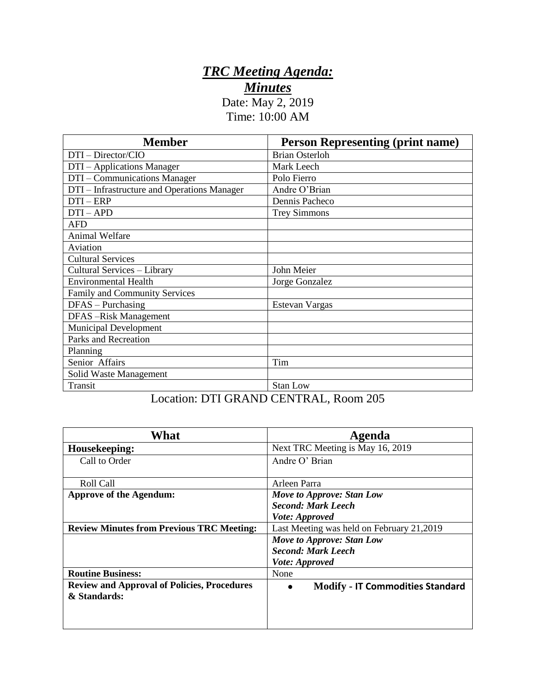## *TRC Meeting Agenda: Minutes*

Date: May 2, 2019 Time: 10:00 AM

| <b>Member</b>                               | <b>Person Representing (print name)</b> |
|---------------------------------------------|-----------------------------------------|
| DTI - Director/CIO                          | <b>Brian Osterloh</b>                   |
| DTI – Applications Manager                  | Mark Leech                              |
| DTI – Communications Manager                | Polo Fierro                             |
| DTI – Infrastructure and Operations Manager | Andre O'Brian                           |
| $DTI - ERP$                                 | Dennis Pacheco                          |
| $DTI-APD$                                   | <b>Trey Simmons</b>                     |
| <b>AFD</b>                                  |                                         |
| Animal Welfare                              |                                         |
| Aviation                                    |                                         |
| <b>Cultural Services</b>                    |                                         |
| Cultural Services - Library                 | John Meier                              |
| <b>Environmental Health</b>                 | Jorge Gonzalez                          |
| <b>Family and Community Services</b>        |                                         |
| $DFAS - Purchasing$                         | Estevan Vargas                          |
| DFAS-Risk Management                        |                                         |
| <b>Municipal Development</b>                |                                         |
| Parks and Recreation                        |                                         |
| Planning                                    |                                         |
| Senior Affairs                              | Tim                                     |
| Solid Waste Management                      |                                         |
| Transit                                     | <b>Stan Low</b>                         |

## Location: DTI GRAND CENTRAL, Room 205

| What                                               | Agenda                                               |
|----------------------------------------------------|------------------------------------------------------|
| Housekeeping:                                      | Next TRC Meeting is May 16, 2019                     |
| Call to Order                                      | Andre O' Brian                                       |
|                                                    |                                                      |
| Roll Call                                          | Arleen Parra                                         |
| <b>Approve of the Agendum:</b>                     | Move to Approve: Stan Low                            |
|                                                    | <b>Second: Mark Leech</b>                            |
|                                                    | Vote: Approved                                       |
| <b>Review Minutes from Previous TRC Meeting:</b>   | Last Meeting was held on February 21,2019            |
|                                                    | Move to Approve: Stan Low                            |
|                                                    | <b>Second: Mark Leech</b>                            |
|                                                    | <i>Vote: Approved</i>                                |
| <b>Routine Business:</b>                           | None                                                 |
| <b>Review and Approval of Policies, Procedures</b> | <b>Modify - IT Commodities Standard</b><br>$\bullet$ |
| & Standards:                                       |                                                      |
|                                                    |                                                      |
|                                                    |                                                      |